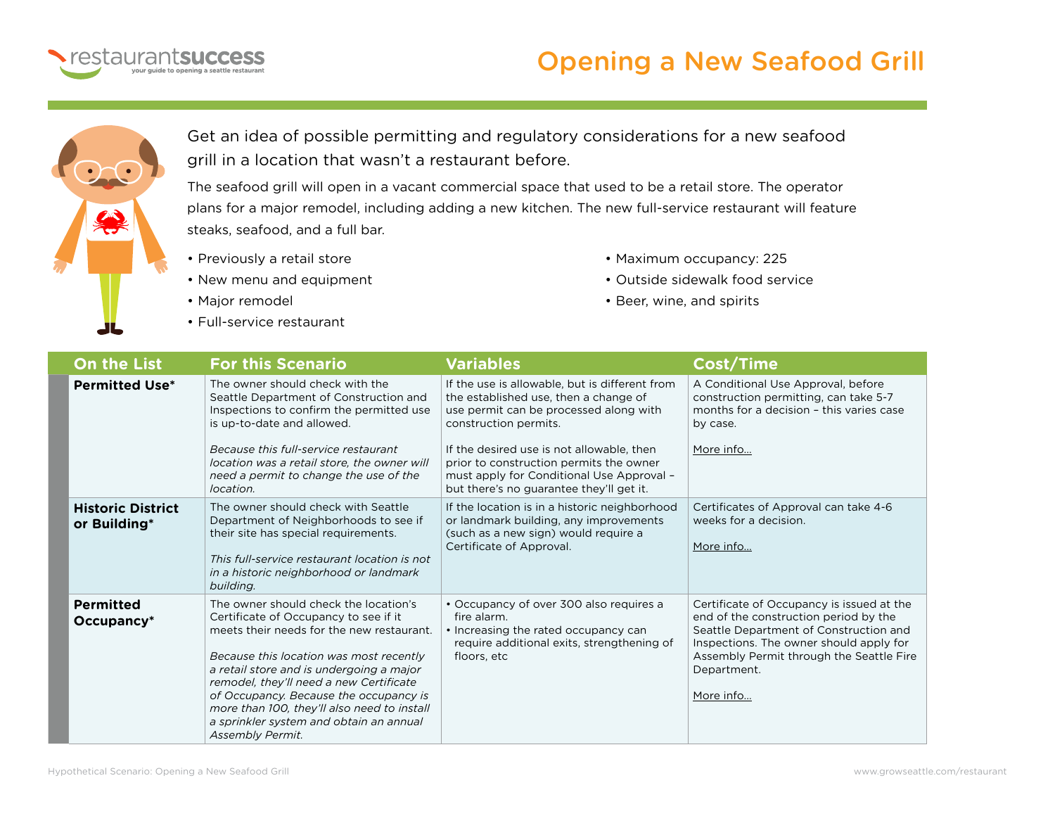

## Opening a New Seafood Grill



Get an idea of possible permitting and regulatory considerations for a new seafood grill in a location that wasn't a restaurant before.

The seafood grill will open in a vacant commercial space that used to be a retail store. The operator plans for a major remodel, including adding a new kitchen. The new full-service restaurant will feature steaks, seafood, and a full bar.

- Previously a retail store
- New menu and equipment
- Major remodel
- Full-service restaurant
- Maximum occupancy: 225
- Outside sidewalk food service
- Beer, wine, and spirits

| <b>On the List</b>                       | <b>For this Scenario</b>                                                                                                                                                                                                                                                                                                                                                                                              | <b>Variables</b>                                                                                                                                                                                                                                                                                                                            | <b>Cost/Time</b>                                                                                                                                                                                                                                |
|------------------------------------------|-----------------------------------------------------------------------------------------------------------------------------------------------------------------------------------------------------------------------------------------------------------------------------------------------------------------------------------------------------------------------------------------------------------------------|---------------------------------------------------------------------------------------------------------------------------------------------------------------------------------------------------------------------------------------------------------------------------------------------------------------------------------------------|-------------------------------------------------------------------------------------------------------------------------------------------------------------------------------------------------------------------------------------------------|
| <b>Permitted Use*</b>                    | The owner should check with the<br>Seattle Department of Construction and<br>Inspections to confirm the permitted use<br>is up-to-date and allowed.<br>Because this full-service restaurant<br>location was a retail store, the owner will<br>need a permit to change the use of the<br>location.                                                                                                                     | If the use is allowable, but is different from<br>the established use, then a change of<br>use permit can be processed along with<br>construction permits.<br>If the desired use is not allowable, then<br>prior to construction permits the owner<br>must apply for Conditional Use Approval -<br>but there's no guarantee they'll get it. | A Conditional Use Approval, before<br>construction permitting, can take 5-7<br>months for a decision - this varies case<br>by case.<br>More info                                                                                                |
| <b>Historic District</b><br>or Building* | The owner should check with Seattle<br>Department of Neighborhoods to see if<br>their site has special requirements.<br>This full-service restaurant location is not<br>in a historic neighborhood or landmark<br>building.                                                                                                                                                                                           | If the location is in a historic neighborhood<br>or landmark building, any improvements<br>(such as a new sign) would require a<br>Certificate of Approval.                                                                                                                                                                                 | Certificates of Approval can take 4-6<br>weeks for a decision.<br>More info                                                                                                                                                                     |
| <b>Permitted</b><br>$Occupancy*$         | The owner should check the location's<br>Certificate of Occupancy to see if it<br>meets their needs for the new restaurant.<br>Because this location was most recently<br>a retail store and is undergoing a major<br>remodel, they'll need a new Certificate<br>of Occupancy. Because the occupancy is<br>more than 100, they'll also need to install<br>a sprinkler system and obtain an annual<br>Assembly Permit. | • Occupancy of over 300 also requires a<br>fire alarm.<br>• Increasing the rated occupancy can<br>require additional exits, strengthening of<br>floors, etc                                                                                                                                                                                 | Certificate of Occupancy is issued at the<br>end of the construction period by the<br>Seattle Department of Construction and<br>Inspections. The owner should apply for<br>Assembly Permit through the Seattle Fire<br>Department.<br>More info |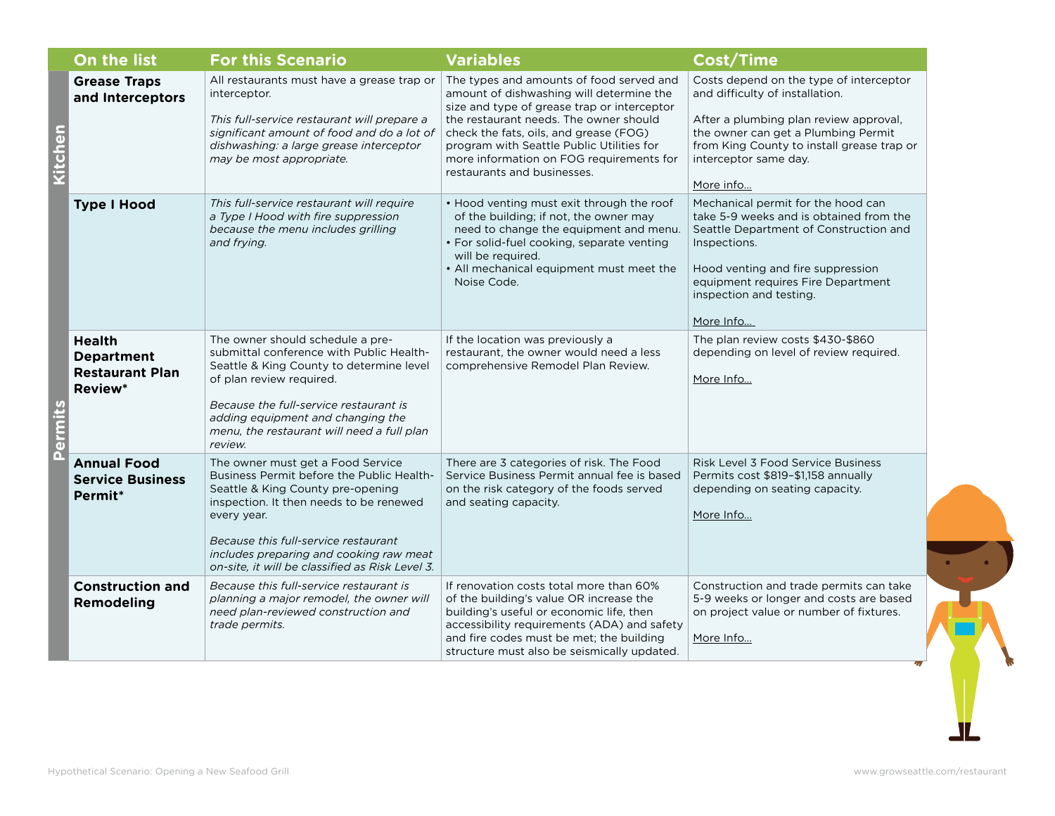|                       | On the list                                                                    | <b>For this Scenario</b>                                                                                                                                                                                                                                                                                            | <b>Variables</b>                                                                                                                                                                                                                                                                                                                                | <b>Cost/Time</b>                                                                                                                                                                                                                                           |
|-----------------------|--------------------------------------------------------------------------------|---------------------------------------------------------------------------------------------------------------------------------------------------------------------------------------------------------------------------------------------------------------------------------------------------------------------|-------------------------------------------------------------------------------------------------------------------------------------------------------------------------------------------------------------------------------------------------------------------------------------------------------------------------------------------------|------------------------------------------------------------------------------------------------------------------------------------------------------------------------------------------------------------------------------------------------------------|
| nen<br>C<br>ermi<br>ñ | <b>Grease Traps</b><br>and Interceptors                                        | All restaurants must have a grease trap or<br>interceptor.<br>This full-service restaurant will prepare a<br>significant amount of food and do a lot of<br>dishwashing: a large grease interceptor<br>may be most appropriate.                                                                                      | The types and amounts of food served and<br>amount of dishwashing will determine the<br>size and type of grease trap or interceptor<br>the restaurant needs. The owner should<br>check the fats, oils, and grease (FOG)<br>program with Seattle Public Utilities for<br>more information on FOG requirements for<br>restaurants and businesses. | Costs depend on the type of interceptor<br>and difficulty of installation.<br>After a plumbing plan review approval,<br>the owner can get a Plumbing Permit<br>from King County to install grease trap or<br>interceptor same day.<br>More info            |
|                       | <b>Type I Hood</b>                                                             | This full-service restaurant will require<br>a Type I Hood with fire suppression<br>because the menu includes grilling<br>and frying.                                                                                                                                                                               | • Hood venting must exit through the roof<br>of the building; if not, the owner may<br>need to change the equipment and menu.<br>• For solid-fuel cooking, separate venting<br>will be required.<br>• All mechanical equipment must meet the<br>Noise Code.                                                                                     | Mechanical permit for the hood can<br>take 5-9 weeks and is obtained from the<br>Seattle Department of Construction and<br>Inspections.<br>Hood venting and fire suppression<br>equipment requires Fire Department<br>inspection and testing.<br>More Info |
|                       | <b>Health</b><br><b>Department</b><br><b>Restaurant Plan</b><br><b>Review*</b> | The owner should schedule a pre-<br>submittal conference with Public Health-<br>Seattle & King County to determine level<br>of plan review required.<br>Because the full-service restaurant is<br>adding equipment and changing the<br>menu, the restaurant will need a full plan<br>review.                        | If the location was previously a<br>restaurant, the owner would need a less<br>comprehensive Remodel Plan Review.                                                                                                                                                                                                                               | The plan review costs \$430-\$860<br>depending on level of review required.<br>More Info                                                                                                                                                                   |
|                       | <b>Annual Food</b><br><b>Service Business</b><br>Permit*                       | The owner must get a Food Service<br>Business Permit before the Public Health-<br>Seattle & King County pre-opening<br>inspection. It then needs to be renewed<br>every year.<br>Because this full-service restaurant<br>includes preparing and cooking raw meat<br>on-site, it will be classified as Risk Level 3. | There are 3 categories of risk. The Food<br>Service Business Permit annual fee is based<br>on the risk category of the foods served<br>and seating capacity.                                                                                                                                                                                    | Risk Level 3 Food Service Business<br>Permits cost \$819-\$1,158 annually<br>depending on seating capacity.<br>More Info                                                                                                                                   |
|                       | <b>Construction and</b><br><b>Remodeling</b>                                   | Because this full-service restaurant is<br>planning a major remodel, the owner will<br>need plan-reviewed construction and<br>trade permits.                                                                                                                                                                        | If renovation costs total more than 60%<br>of the building's value OR increase the<br>building's useful or economic life, then<br>accessibility requirements (ADA) and safety<br>and fire codes must be met; the building<br>structure must also be seismically updated.                                                                        | Construction and trade permits can take<br>5-9 weeks or longer and costs are based<br>on project value or number of fixtures.<br>More Info                                                                                                                 |